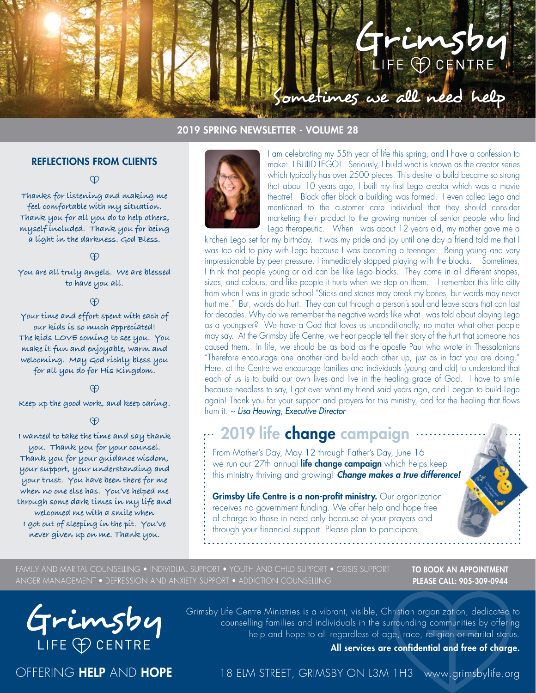# Grimsb LIFE PCENTRE

#### 2019 SPRING NEWSLETTER - VOLUME 28

#### REFLECTIONS FROM CLIENTS

<sup>O</sup>

**Thanks for listening and making me feel comfortable with my situation. Thank you for all you do to help others, myself included. Thank you for being a light in the darkness. God Bless.**

**You are all truly angels. We are blessed to have you all.**

Æ,

**Your time and effort spent with each of our kids is so much appreciated! The kids LOVE coming to see you. You make it fun and enjoyable, warm and welcoming. May God richly bless you for all you do for His Kingdom.**

**Keep up the good work, and keep caring.**

#### **A**

**I wanted to take the time and say thank you. Thank you for your counsel. Thank you for your guidance wisdom, your support, your understanding and your trust. You have been there for me when no one else has. You've helped me through some dark times in my life and welcomed me with a smile when I got out of sleeping in the pit. You've never given up on me. Thank you.**



I am celebrating my 55th year of life this spring, and I have a confession to make: I BUILD LEGO! Seriously, I build what is known as the creator series which typically has over 2500 pieces. This desire to build became so strong that about 10 years ago, I built my first Lego creator which was a movie theatre! Block after block a building was formed. I even called Lego and mentioned to the customer care individual that they should consider marketing their product to the growing number of senior people who find Lego therapeutic. When I was about 12 years old, my mother gave me a

ometimes we all need help

kitchen Lego set for my birthday. It was my pride and joy until one day a friend told me that I was too old to play with Lego because I was becoming a teenager. Being young and very impressionable by peer pressure, I immediately stopped playing with the blocks. Sometimes, I think that people young or old can be like Lego blocks. They come in all different shapes, sizes, and colours, and like people it hurts when we step on them. I remember this little ditty from when I was in grade school "Sticks and stones may break my bones, but words may never hurt me." But, words do hurt. They can cut through a person's soul and leave scars that can last for decades. Why do we remember the negative words like what I was told about playing Lego as a youngster? We have a God that loves us unconditionally, no matter what other people may say. At the Grimsby Life Centre, we hear people tell their story of the hurt that someone has caused them. In life, we should be as bold as the apostle Paul who wrote in Thessalonians "Therefore encourage one another and build each other up, just as in fact you are doing." Here, at the Centre we encourage families and individuals (young and old) to understand that each of us is to build our own lives and live in the healing grace of God. I have to smile because needless to say, I got over what my friend said years ago, and I began to build Lego again! Thank you for your support and prayers for this ministry, and for the healing that flows from it. ~ *Lisa Heuving, Executive Director*

### 2019 life change campaign

From Mother's Day, May 12 through Father's Day, June 16 we run our 27th annual life change campaign which helps keep this ministry thriving and growing! *Change makes a true difference!*

Grimsby Life Centre is a non-profit ministry. Our organization receives no government funding. We offer help and hope free of charge to those in need only because of your prayers and through your financial support. Please plan to participate.

FAMILY AND MARITAL COUNSELLING • INDIVIDUAL SUPPORT • YOUTH AND CHILD SUPPORT • CRISIS SUPPORT ANGER MANAGEMENT • DEPRESSION AND ANXIETY SUPPORT • ADDICTION COUNSELLING

TO BOOK AN APPOINTMENT PLEASE CALL: 905-309-0944



Grimsby Life Centre Ministries is a vibrant, visible, Christian organization, dedicated to counselling families and individuals in the surrounding communities by offering help and hope to all regardless of age, race, religion or marital status.

All services are confidential and free of charge.

OFFERING HELP AND HOPE

18 ELM STREET, GRIMSBY ON L3M 1H3 www.grimsbylife.org